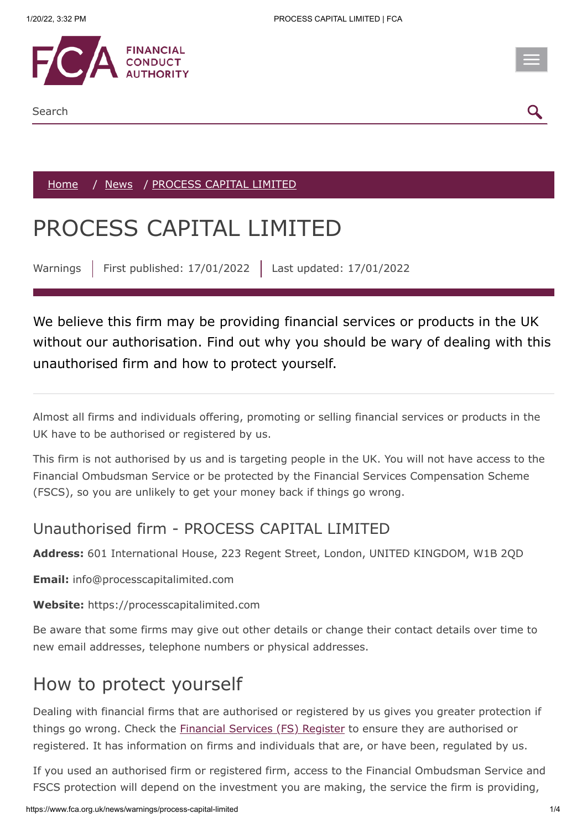

[Home](https://www.fca.org.uk/) / [News](https://www.fca.org.uk/news) / PROCESS CAPITAL LIMITED

## PROCESS CAPITAL LIMITED

Warnings | First published: 17/01/2022 | Last updated: 17/01/2022

We believe this firm may be providing financial services or products in the UK without our authorisation. Find out why you should be wary of dealing with this unauthorised firm and how to protect yourself.

Almost all firms and individuals offering, promoting or selling financial services or products in the UK have to be authorised or registered by us.

This firm is not authorised by us and is targeting people in the UK. You will not have access to the Financial Ombudsman Service or be protected by the Financial Services Compensation Scheme (FSCS), so you are unlikely to get your money back if things go wrong.

## Unauthorised firm - PROCESS CAPITAL LIMITED

**Address:** 601 International House, 223 Regent Street, London, UNITED KINGDOM, W1B 2QD

**Email:** info@processcapitalimited.com

**Website:** https://processcapitalimited.com

Be aware that some firms may give out other details or change their contact details over time to new email addresses, telephone numbers or physical addresses.

## How to protect yourself

Dealing with financial firms that are authorised or registered by us gives you greater protection if things go wrong. Check the **[Financial Services \(FS\) Register](https://register.fca.org.uk/)** to ensure they are authorised or registered. It has information on firms and individuals that are, or have been, regulated by us.

If you used an authorised firm or registered firm, access to the Financial Ombudsman Service and FSCS protection will depend on the investment you are making, the service the firm is providing,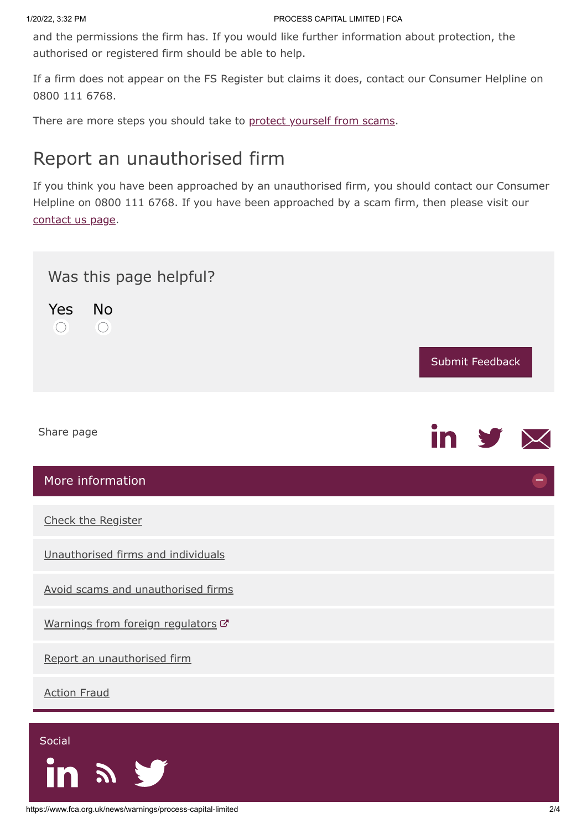and the permissions the firm has. If you would like further information about protection, the authorised or registered firm should be able to help.

If a firm does not appear on the FS Register but claims it does, contact our Consumer Helpline on 0800 111 6768.

There are more steps you should take to [protect yourself from scams](https://www.fca.org.uk/consumers/avoid-scams-unauthorised-firms).

## Report an unauthorised firm

If you think you have been approached by an unauthorised firm, you should contact our Consumer Helpline on 0800 111 6768. If you have been approached by a scam firm, then please visit our [contact us page.](https://www.fca.org.uk/contact)



<span id="page-1-0"></span> $\boldsymbol{\Sigma}$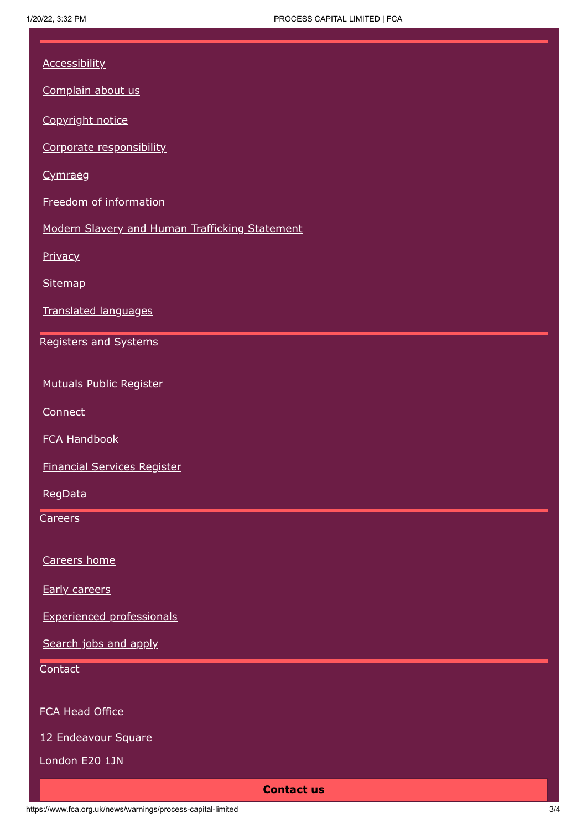| <b>Accessibility</b>                           |
|------------------------------------------------|
| Complain about us                              |
| Copyright notice                               |
| Corporate responsibility                       |
| Cymraeg                                        |
| Freedom of information                         |
| Modern Slavery and Human Trafficking Statement |
| Privacy                                        |
| <b>Sitemap</b>                                 |
| Translated languages                           |
| Registers and Systems                          |
|                                                |
| <b>Mutuals Public Register</b>                 |
| Connect                                        |
| <b>FCA Handbook</b>                            |
| <b>Financial Services Register</b>             |
| RegData                                        |
| Careers                                        |
| Careers home                                   |
| <b>Early careers</b>                           |
| <b>Experienced professionals</b>               |
| Search jobs and apply                          |
| Contact                                        |
| FCA Head Office                                |
| 12 Endeavour Square                            |
| London E20 1JN                                 |
| <b>Contact us</b>                              |